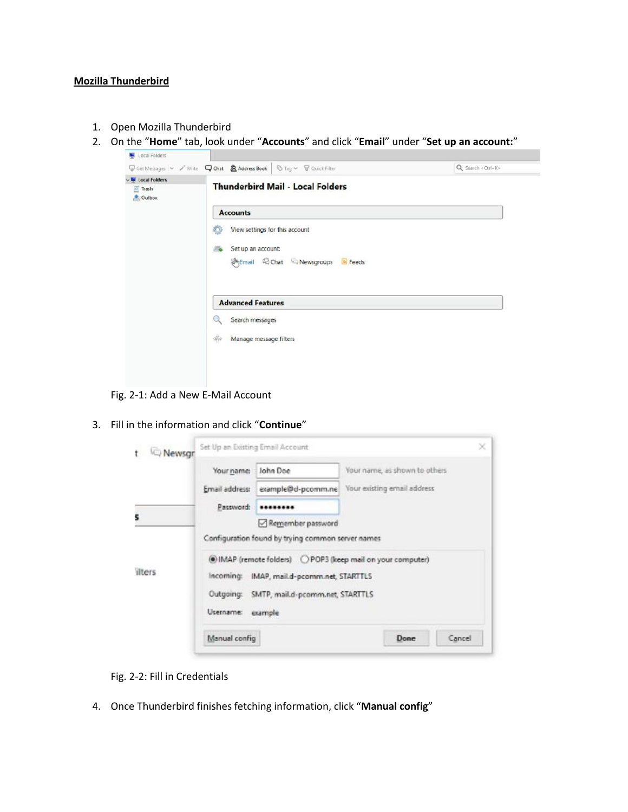## **Mozilla Thunderbird**

- 1. Open Mozilla Thunderbird
- 2. On the "**Home**" tab, look under "**Accounts**" and click "**Email**" under "**Set up an account:**"

| <b>N</b> Local Folders |                                                                 |  |  |  |  |
|------------------------|-----------------------------------------------------------------|--|--|--|--|
| <b>Trash</b><br>Outbox | <b>Thunderbird Mail - Local Folders</b>                         |  |  |  |  |
|                        | <b>Accounts</b>                                                 |  |  |  |  |
|                        | View settings for this account<br>Ð                             |  |  |  |  |
|                        | Set up an account:<br><b>B</b>                                  |  |  |  |  |
|                        | ( <sup>ht</sup> )Email 吗 Chat © Newsgroups <mark>■</mark> Feeds |  |  |  |  |
|                        | <b>Advanced Features</b>                                        |  |  |  |  |
|                        | Search messages<br>Q                                            |  |  |  |  |
|                        | $\frac{1}{2}$<br>Manage message filters                         |  |  |  |  |
|                        |                                                                 |  |  |  |  |

Fig. 2-1: Add a New E-Mail Account

3. Fill in the information and click "**Continue**"

| Newsgr | Set Up an Existing Email Account |                                                   |                                                               | × |
|--------|----------------------------------|---------------------------------------------------|---------------------------------------------------------------|---|
|        | Your name:                       | John Doe                                          | Your name, as shown to others                                 |   |
|        |                                  | Email address: example@d-pcomm.ne                 | Your existing email address                                   |   |
|        | Password:                        |                                                   |                                                               |   |
| 5      |                                  | Remember password                                 |                                                               |   |
|        |                                  | Configuration found by trying common server names |                                                               |   |
| ilters |                                  |                                                   | (c) IMAP (remote folders) C POP3 (keep mail on your computer) |   |
|        | incoming:                        | IMAP, mail.d-pcomm.net, STARTTLS                  |                                                               |   |
|        | Outgoing:                        | SMTP, mail.d-pcomm.net, STARTTLS                  |                                                               |   |
|        | Username:                        | example                                           |                                                               |   |
|        | Manual config                    |                                                   | Cancel<br>Done                                                |   |

- Fig. 2-2: Fill in Credentials
- 4. Once Thunderbird finishes fetching information, click "**Manual config**"